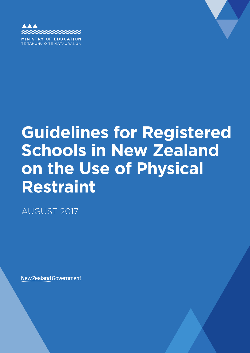

TĀHUHU O TE MĀTAURANGA

# **Guidelines for Registered Schools in New Zealand on the Use of Physical Restraint**

AUGUST 2017

**New Zealand Government**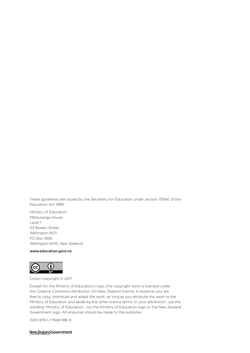These guidelines are issued by the Secretary for Education under section 139AE of the Education Act 1989.

Ministry of Education Mātauranga House Level 1 33 Bowen Street Wellington 6011 PO Box 1666, Wellington 6140, New Zealand

#### www.education.govt.nz



Crown copyright © 2017

Except for the Ministry of Education's logo, this copyright work is licensed under the Creative Commons Attribution 3.0 New Zealand licence. In essence, you are free to copy, distribute and adapt the work, as long as you attribute the work to the Ministry of Education and abide by the other licence terms. In your attribution, use the wording 'Ministry of Education', not the Ministry of Education logo or the New Zealand Government logo. All enquiries should be made to the publisher.

ISSN 978-1-77669-186-9

New Zealand Government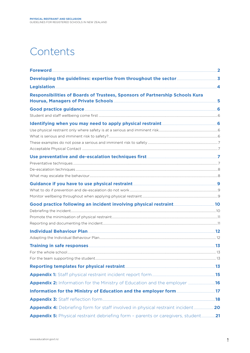# Contents

| Responsibilities of Boards of Trustees, Sponsors of Partnership Schools Kura                                         |  |
|----------------------------------------------------------------------------------------------------------------------|--|
| Good practice guidance <b>Exercise Security Cool</b> Security 6                                                      |  |
|                                                                                                                      |  |
|                                                                                                                      |  |
|                                                                                                                      |  |
|                                                                                                                      |  |
|                                                                                                                      |  |
|                                                                                                                      |  |
|                                                                                                                      |  |
|                                                                                                                      |  |
|                                                                                                                      |  |
|                                                                                                                      |  |
|                                                                                                                      |  |
|                                                                                                                      |  |
|                                                                                                                      |  |
|                                                                                                                      |  |
|                                                                                                                      |  |
|                                                                                                                      |  |
|                                                                                                                      |  |
|                                                                                                                      |  |
|                                                                                                                      |  |
| Reporting templates for physical restraint [2001] [2003] [2013] [30] [30] Reporting templates for physical restraint |  |
|                                                                                                                      |  |
| Appendix 2: Information for the Ministry of Education and the employer 16                                            |  |
| Information for the Ministry of Education and the employer form <b>Entire 2018</b> 17                                |  |
|                                                                                                                      |  |
| Appendix 4: Debriefing form for staff involved in physical restraint incident20                                      |  |
| Appendix 5: Physical restraint debriefing form - parents or caregivers, student                                      |  |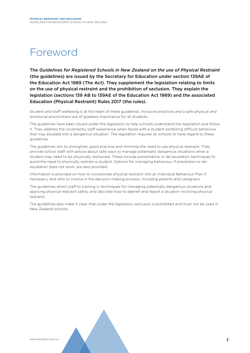# Foreword

The *Guidelines for Registered Schools in New Zealand on the use of Physical Restraint*  (the guidelines) are issued by the Secretary for Education under section 139AE of the Education Act 1989 (The Act). They supplement the legislation relating to limits on the use of physical restraint and the prohibition of seclusion. They explain the legislation (sections 139 AB to 139AE of the Education Act 1989) and the associated Education (Physical Restraint) Rules 2017 (the rules).

Student and staff wellbeing is at the heart of these guidelines. Inclusive practices and a safe physical and emotional environment are of greatest importance for all students.

The guidelines have been issued under the legislation to help schools understand the legislation and follow it. They address the uncertainty staff experience when faced with a student exhibiting difficult behaviour that may escalate into a dangerous situation. The legislation requires all schools to have regard to these guidelines.

The guidelines aim to strengthen good practice and minimise the need to use physical restraint. They provide school staff with advice about safe ways to manage potentially dangerous situations when a student may need to be physically restrained. These include preventative or de-escalation techniques to avoid the need to physically restrain a student. Options for managing behaviour, if prevention or deescalation does not work, are also provided.

Information is provided on how to incorporate physical restraint into an Individual Behaviour Plan if necessary, and who to involve in the decision-making process, including parents and caregivers.

The guidelines direct staff to training in techniques for managing potentially dangerous situations and applying physical restraint safely, and describe how to debrief and report a situation involving physical restraint.

The guidelines also make it clear that under the legislation seclusion is prohibited and must not be used in New Zealand schools.

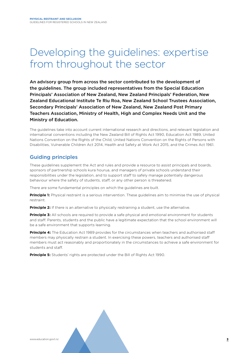# Developing the guidelines: expertise from throughout the sector

An advisory group from across the sector contributed to the development of the guidelines. The group included representatives from the Special Education Principals' Association of New Zealand, New Zealand Principals' Federation, New Zealand Educational Institute Te Riu Roa, New Zealand School Trustees Association, Secondary Principals' Association of New Zealand, New Zealand Post Primary Teachers Association, Ministry of Health, High and Complex Needs Unit and the Ministry of Education.

The guidelines take into account current international research and directions, and relevant legislation and international conventions including the New Zealand Bill of Rights Act 1990, Education Act 1989, United Nations Convention on the Rights of the Child, United Nations Convention on the Rights of Persons with Disabilities, Vulnerable Children Act 2014, Health and Safety at Work Act 2015, and the Crimes Act 1961.

### Guiding principles

These guidelines supplement the Act and rules and provide a resource to assist principals and boards, sponsors of partnership schools kura hourua, and managers of private schools understand their responsibilities under the legislation, and to support staff to safely manage potentially dangerous behaviour where the safety of students, staff, or any other person is threatened.

There are some fundamental principles on which the guidelines are built.

**Principle 1:** Physical restraint is a serious intervention. These guidelines aim to minimise the use of physical restraint.

**Principle 2:** If there is an alternative to physically restraining a student, use the alternative.

**Principle 3:** All schools are required to provide a safe physical and emotional environment for students and staff. Parents, students and the public have a legitimate expectation that the school environment will be a safe environment that supports learning.

**Principle 4:** The Education Act 1989 provides for the circumstances when teachers and authorised staff members may physically restrain a student. In exercising these powers, teachers and authorised staff members must act reasonably and proportionately in the circumstances to achieve a safe environment for students and staff.

**Principle 5:** Students' rights are protected under the Bill of Rights Act 1990.

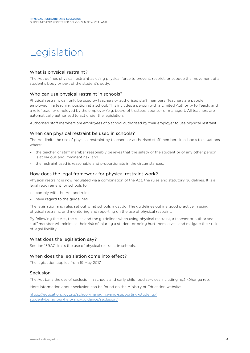# Legislation

#### What is physical restraint?

The Act defines physical restraint as using physical force to prevent, restrict, or subdue the movement of a student's body or part of the student's body.

#### Who can use physical restraint in schools?

Physical restraint can only be used by teachers or authorised staff members. Teachers are people employed in a teaching position at a school. This includes a person with a Limited Authority to Teach, and a relief teacher employed by the employer (e.g. board of trustees, sponsor or manager). All teachers are automatically authorised to act under the legislation.

Authorised staff members are employees of a school authorised by their employer to use physical restraint.

#### When can physical restraint be used in schools?

The Act limits the use of physical restraint by teachers or authorised staff members in schools to situations where:

- » the teacher or staff member reasonably believes that the safety of the student or of any other person is at serious and imminent risk; and
- » the restraint used is reasonable and proportionate in the circumstances.

#### How does the legal framework for physical restraint work?

Physical restraint is now regulated via a combination of the Act, the rules and statutory guidelines. It is a legal requirement for schools to:

- » comply with the Act and rules
- » have regard to the guidelines.

The legislation and rules set out what schools must do. The guidelines outline good practice in using physical restraint, and monitoring and reporting on the use of physical restraint.

By following the Act, the rules and the guidelines when using physical restraint, a teacher or authorised staff member will minimise their risk of injuring a student or being hurt themselves, and mitigate their risk of legal liability.

#### What does the legislation say?

Section 139AC limits the use of physical restraint in schools.

#### When does the legislation come into effect?

The legislation applies from 19 May 2017.

#### Seclusion

The Act bans the use of seclusion in schools and early childhood services including ngā kōhanga reo.

More information about seclusion can be found on the Ministry of Education website:

https://education.govt.nz/school/managing-and-supporting-students/ student-behaviour-help-and-guidance/seclusion/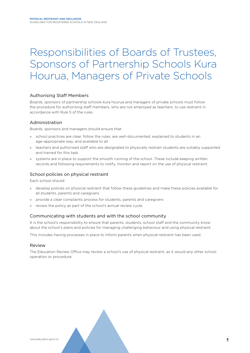# Responsibilities of Boards of Trustees, Sponsors of Partnership Schools Kura Hourua, Managers of Private Schools

#### Authorising Staff Members

Boards, sponsors of partnership schools kura hourua and managers of private schools must follow the procedure for authorising staff members, who are not employed as teachers, to use restraint in accordance with Rule 5 of the rules.

#### Administration

Boards, sponsors and managers should ensure that:

- » school practices are clear, follow the rules, are well-documented, explained to students in an age-appropriate way, and available to all
- » teachers and authorised staff who are designated to physically restrain students are suitably supported and trained for this task
- » systems are in place to support the smooth running of the school. These include keeping written records and following requirements to notify, monitor and report on the use of physical restraint.

#### School policies on physical restraint

Each school should:

- » develop policies on physical restraint that follow these guidelines and make these policies available for all students, parents and caregivers
- » provide a clear complaints process for students, parents and caregivers
- review the policy as part of the school's annual review cycle.

#### Communicating with students and with the school community

It is the school's responsibility to ensure that parents, students, school staff and the community know about the school's plans and policies for managing challenging behaviour and using physical restraint.

This includes having processes in place to inform parents when physical restraint has been used.

#### Review

The Education Review Office may review a school's use of physical restraint, as it would any other school operation or procedure.

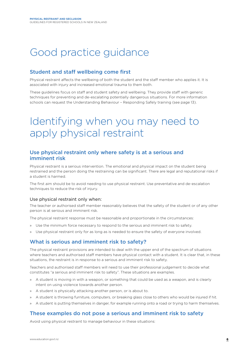# Good practice guidance

### Student and staff wellbeing come first

Physical restraint affects the wellbeing of both the student and the staff member who applies it. It is associated with injury and increased emotional trauma to them both.

These guidelines focus on staff and student safety and wellbeing. They provide staff with generic techniques for preventing and de-escalating potentially dangerous situations. For more information schools can request the Understanding Behaviour – Responding Safely training (see page 13).

# Identifying when you may need to apply physical restraint

### Use physical restraint only where safety is at a serious and imminent risk

Physical restraint is a serious intervention. The emotional and physical impact on the student being restrained and the person doing the restraining can be significant. There are legal and reputational risks if a student is harmed.

The first aim should be to avoid needing to use physical restraint. Use preventative and de-escalation techniques to reduce the risk of injury.

#### Use physical restraint only when:

The teacher or authorised staff member reasonably believes that the safety of the student or of any other person is at serious and imminent risk.

The physical restraint response must be reasonable and proportionate in the circumstances:

- » Use the minimum force necessary to respond to the serious and imminent risk to safety.
- » Use physical restraint only for as long as is needed to ensure the safety of everyone involved.

### What is serious and imminent risk to safety?

The physical restraint provisions are intended to deal with the upper end of the spectrum of situations where teachers and authorised staff members have physical contact with a student. It is clear that, in these situations, the restraint is in response to a serious and imminent risk to safety.

Teachers and authorised staff members will need to use their professional judgement to decide what constitutes "a serious and imminent risk to safety". These situations are examples.

- » A student is moving in with a weapon, or something that could be used as a weapon, and is clearly intent on using violence towards another person.
- » A student is physically attacking another person, or is about to.
- » A student is throwing furniture, computers, or breaking glass close to others who would be injured if hit.
- » A student is putting themselves in danger, for example running onto a road or trying to harm themselves.

### These examples do not pose a serious and imminent risk to safety

Avoid using physical restraint to manage behaviour in these situations: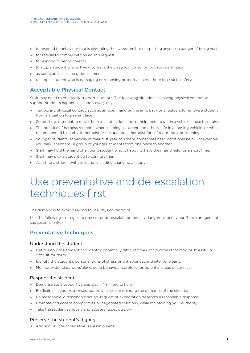- » to respond to behaviour that is disrupting the classroom but not putting anyone in danger of being hurt
- for refusal to comply with an adult's request
- » to respond to verbal threats
- » to stop a student who is trying to leave the classroom or school without permission
- » as coercion, discipline or punishment
- to stop a student who is damaging or removing property, unless there is a risk to safety.

### Acceptable Physical Contact

Staff may need to physically support students. The following situations involving physical contact to support students happen in schools every day:

- » Temporary physical contact, such as an open hand on the arm, back or shoulders to remove a student from a situation to a safer place.
- » Supporting a student to move them to another location, or help them to get in a vehicle or use the stairs.
- » The practice of harness restraint, when keeping a student and others safe in a moving vehicle, or when recommended by a physiotherapist or occupational therapist for safety or body positioning.
- » Younger students, especially in their first year of school, sometimes need additional help. For example, you may "shepherd" a group of younger students from one place to another.
- » Staff may hold the hand of a young student who is happy to have their hand held for a short time.
- » Staff may pick a student up to comfort them.
- » Assisting a student with toileting, including changing a nappy.

# Use preventative and de-escalation techniques first

The first aim is to avoid needing to use physical restraint.

Use the following strategies to prevent or de-escalate potentially dangerous behaviour. These are general suggestions only.

### Preventative techniques

#### Understand the student

- » Get to know the student and identify potentially difficult times or situations that may be stressful or difficult for them.
- » Identify the student's personal signs of stress or unhappiness and intervene early.
- » Monitor wider classroom/playground behaviour carefully for potential areas of conflict.

#### Respect the student

- » Demonstrate a supportive approach: "I'm here to help."
- » Be flexible in your responses: adapt what you're doing to the demands of the situation.
- » Be reasonable: a reasonable action, request or expectation deserves a reasonable response.
- » Promote and accept compromise or negotiated solutions, while maintaining your authority.
- » Take the student seriously and address issues quickly.

#### Preserve the student's dignity

» Address private or sensitive issues in private.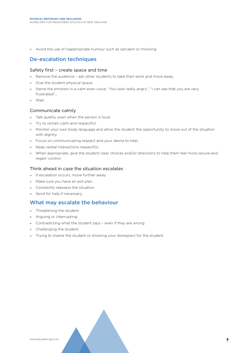» Avoid the use of inappropriate humour such as sarcasm or mocking.

### De-escalation techniques

#### Safety first – create space and time

- » Remove the audience ask other students to take their work and move away.
- » Give the student physical space.
- » Name the emotion in a calm even voice: "You look really angry", "I can see that you are very frustrated"…
- » Wait.

#### Communicate calmly

- » Talk quietly, even when the person is loud.
- » Try to remain calm and respectful.
- » Monitor your own body language and allow the student the opportunity to move out of the situation with dignity.
- » Focus on communicating respect and your desire to help.
- » Keep verbal interactions respectful.
- » When appropriate, give the student clear choices and/or directions to help them feel more secure and regain control.

#### Think ahead in case the situation escalates

- » If escalation occurs, move further away.
- » Make sure you have an exit plan.
- » Constantly reassess the situation.
- » Send for help if necessary.

### What may escalate the behaviour

- » Threatening the student.
- » Arguing or interrupting.
- » Contradicting what the student says even if they are wrong.
- » Challenging the student.
- » Trying to shame the student or showing your disrespect for the student.

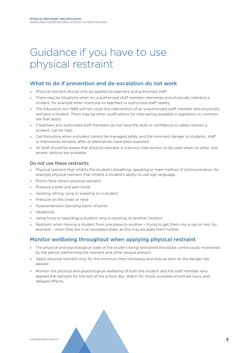# Guidance if you have to use physical restraint

### What to do if prevention and de-escalation do not work

- » Physical restraint should only be applied by teachers and authorised staff.
- » There may be situations when an unauthorised staff member intervenes and physically restrains a student, for example when there are no teachers or authorised staff nearby.
- » The Education Act 1989 will not cover the intervention of an unauthorised staff member who physically restrains a student. There may be other justifications for intervening available in legislation or common law that apply.
- » If teachers and authorised staff members do not have the skills or confidence to safely restrain a student, call for help.
- » Call the police when a student cannot be managed safely and the imminent danger to students, staff or themselves remains, after all alternatives have been explored.
- » All staff should be aware that physical restraint is a serious intervention to be used when no other, less severe, options are available.

#### Do not use these restraints

- » Physical restraint that inhibits the student's breathing, speaking or main method of communication, for example physical restraint that inhibits a student's ability to use sign language.
- » Prone (face-down) physical restraint
- » Pressure points and pain holds
- » Tackling, sitting, lying or kneeling on a student
- » Pressure on the chest or neck
- » Hyperextension (bending back) of joints
- » Headlocks
- » Using force to take/drag a student, who is resisting, to another location
- » Restraint when moving a student from one place to another trying to get them into a van or taxi, for example – when they are in an escalated state, as this may escalate them further.

### Monitor wellbeing throughout when applying physical restraint

- » The physical and psychological state of the student being restrained should be continuously monitored by the person performing the restraint and other people present.
- » Apply physical restraint only for the minimum time necessary and stop as soon as the danger has passed.
- » Monitor the physical and psychological wellbeing of both the student and the staff member who applied the restraint for the rest of the school day. Watch for shock, possible unnoticed injury and delayed effects.

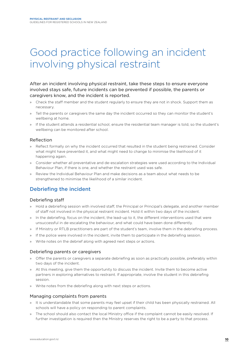# Good practice following an incident involving physical restraint

#### After an incident involving physical restraint, take these steps to ensure everyone involved stays safe, future incidents can be prevented if possible, the parents or caregivers know, and the incident is reported.

- » Check the staff member and the student regularly to ensure they are not in shock. Support them as necessary.
- » Tell the parents or caregivers the same day the incident occurred so they can monitor the student's wellbeing at home.
- » If the student attends a residential school, ensure the residential team manager is told, so the student's wellbeing can be monitored after school.

#### Reflection

- » Reflect formally on why the incident occurred that resulted in the student being restrained. Consider what might have prevented it, and what might need to change to minimise the likelihood of it happening again.
- » Consider whether all preventative and de-escalation strategies were used according to the Individual Behaviour Plan, if there is one, and whether the restraint used was safe.
- » Review the Individual Behaviour Plan and make decisions as a team about what needs to be strengthened to minimise the likelihood of a similar incident.

### Debriefing the incident

#### Debriefing staff

- » Hold a debriefing session with involved staff, the Principal or Principal's delegate, and another member of staff not involved in the physical restraint incident. Hold it within two days of the incident.
- » In the debriefing, focus on the incident, the lead-up to it, the different interventions used that were unsuccessful in de-escalating the behaviour, and what could have been done differently.
- » If Ministry or RTLB practitioners are part of the student's team, involve them in the debriefing process.
- » If the police were involved in the incident, invite them to participate in the debriefing session.
- » Write notes on the debrief along with agreed next steps or actions.

#### Debriefing parents or caregivers

- » Offer the parents or caregivers a separate debriefing as soon as practically possible, preferably within two days of the incident.
- » At this meeting, give them the opportunity to discuss the incident. Invite them to become active partners in exploring alternatives to restraint. If appropriate, involve the student in this debriefing session.
- » Write notes from the debriefing along with next steps or actions.

#### Managing complaints from parents

- » It is understandable that some parents may feel upset if their child has been physically restrained. All schools will have a policy on responding to parent complaints.
- » The school should also contact the local Ministry office if the complaint cannot be easily resolved. If further investigation is required then the Ministry reserves the right to be a party to that process.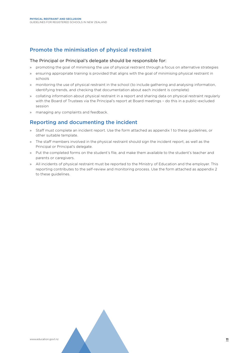### Promote the minimisation of physical restraint

#### The Principal or Principal's delegate should be responsible for:

- » promoting the goal of minimising the use of physical restraint through a focus on alternative strategies
- » ensuring appropriate training is provided that aligns with the goal of minimising physical restraint in schools
- » monitoring the use of physical restraint in the school (to include gathering and analysing information, identifying trends, and checking that documentation about each incident is complete)
- » collating information about physical restraint in a report and sharing data on physical restraint regularly with the Board of Trustees via the Principal's report at Board meetings – do this in a public-excluded session
- » managing any complaints and feedback.

### Reporting and documenting the incident

- » Staff must complete an incident report. Use the form attached as appendix 1 to these guidelines, or other suitable template.
- » The staff members involved in the physical restraint should sign the incident report, as well as the Principal or Principal's delegate.
- » Put the completed forms on the student's file, and make them available to the student's teacher and parents or caregivers.
- » All incidents of physical restraint must be reported to the Ministry of Education and the employer. This reporting contributes to the self-review and monitoring process. Use the form attached as appendix 2 to these guidelines.

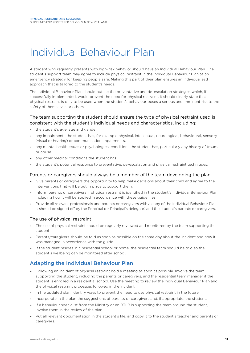# Individual Behaviour Plan

A student who regularly presents with high-risk behavior should have an Individual Behaviour Plan. The student's support team may agree to include physical restraint in the Individual Behaviour Plan as an emergency strategy for keeping people safe. Making this part of their plan ensures an individualised approach that is tailored to the student's needs.

The Individual Behaviour Plan should outline the preventative and de-escalation strategies which, if successfully implemented, would prevent the need for physical restraint. It should clearly state that physical restraint is only to be used when the student's behaviour poses a serious and imminent risk to the safety of themselves or others.

#### The team supporting the student should ensure the type of physical restraint used is consistent with the student's individual needs and characteristics, including:

- » the student's age, size and gender
- » any impairments the student has, for example physical, intellectual, neurological, behavioural, sensory (visual or hearing) or communication impairments.
- » any mental health issues or psychological conditions the student has, particularly any history of trauma or abuse
- » any other medical conditions the student has
- » the student's potential response to preventative, de-escalation and physical restraint techniques.

#### Parents or caregivers should always be a member of the team developing the plan.

- » Give parents or caregivers the opportunity to help make decisions about their child and agree to the interventions that will be put in place to support them.
- » Inform parents or caregivers if physical restraint is identified in the student's Individual Behaviour Plan, including how it will be applied in accordance with these guidelines.
- » Provide all relevant professionals and parents or caregivers with a copy of the Individual Behaviour Plan. It should be signed off by the Principal (or Principal's delegate) and the student's parents or caregivers.

#### The use of physical restraint

- The use of physical restraint should be regularly reviewed and monitored by the team supporting the student.
- » Parents/caregivers should be told as soon as possible on the same day about the incident and how it was managed in accordance with the guide.
- » If the student resides in a residential school or home, the residential team should be told so the student's wellbeing can be monitored after school.

### Adapting the Individual Behaviour Plan

- » Following an incident of physical restraint hold a meeting as soon as possible. Involve the team supporting the student, including the parents or caregivers, and the residential team manager if the student is enrolled in a residential school. Use the meeting to review the Individual Behaviour Plan and the physical restraint processes followed in the incident.
- » In the updated plan, identify ways to prevent the need to use physical restraint in the future.
- » Incorporate in the plan the suggestions of parents or caregivers and, if appropriate, the student.
- » If a behaviour specialist from the Ministry or an RTLB is supporting the team around the student, involve them in the review of the plan.
- » Put all relevant documentation in the student's file, and copy it to the student's teacher and parents or caregivers.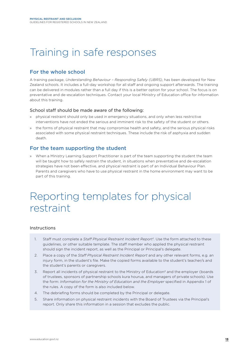# Training in safe responses

### For the whole school

A training package, *Understanding Behaviour – Responding Safely (UBRS)*, has been developed for New Zealand schools. It includes a full-day workshop for all staff and ongoing support afterwards. The training can be delivered in modules rather than a full day if this is a better option for your school. The focus is on preventative and de-escalation techniques. Contact your local Ministry of Education office for information about this training.

#### School staff should be made aware of the following:

- » physical restraint should only be used in emergency situations, and only when less restrictive interventions have not ended the serious and imminent risk to the safety of the student or others.
- » the forms of physical restraint that may compromise health and safety, and the serious physical risks associated with some physical restraint techniques. These include the risk of asphyxia and sudden death.

### For the team supporting the student

» When a Ministry Learning Support Practitioner is part of the team supporting the student the team will be taught how to safely restrain the student, in situations when preventative and de-escalation strategies have not been effective, and physical restraint is part of an Individual Behaviour Plan. Parents and caregivers who have to use physical restraint in the home environment may want to be part of this training.

# Reporting templates for physical restraint

#### Instructions

- 1. Staff must complete a *Staff Physical Restraint Incident Report1.* Use the form attached to these guidelines, or other suitable template. The staff member who applied the physical restraint should sign the incident report, as well as the Principal or Principal's delegate.
- 2. Place a copy of the *Staff Physical Restraint Incident Report* and any other relevant forms, e.g. an injury form, in the student's file. Make the copied forms available to the student's teacher/s and the student's parents or caregivers.
- 3. Report all incidents of physical restraint to the Ministry of Education<sup>2</sup> and the employer (boards of trustees, sponsors of partnership schools kura hourua, and managers of private schools). Use the form: *Information for the Ministry of Education and the Employer* specified in Appendix 1 of the rules. A copy of the form is also included below.
- 4. The debriefing forms should be completed by the Principal or delegate.
- 5. Share information on physical restraint incidents with the Board of Trustees via the Principal's report. Only share this information in a session that excludes the public.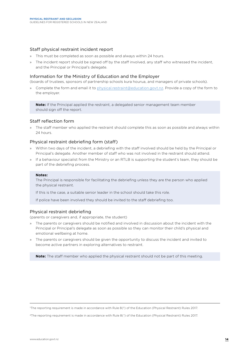#### Staff physical restraint incident report

- » This must be completed as soon as possible and always within 24 hours.
- » The incident report should be signed off by the staff involved, any staff who witnessed the incident, and the Principal or Principal's delegate.

#### Information for the Ministry of Education and the Employer

(boards of trustees, sponsors of partnership schools kura hourua, and managers of private schools).

» Complete the form and email it to physical.restraint@education.govt.nz. Provide a copy of the form to the employer.

**Note:** If the Principal applied the restraint, a delegated senior management team member should sign off the report.

#### Staff reflection form

» The staff member who applied the restraint should complete this as soon as possible and always within 24 hours.

#### Physical restraint debriefing form (staff)

- » Within two days of the incident, a debriefing with the staff involved should be held by the Principal or Principal's delegate. Another member of staff who was not involved in the restraint should attend.
- » If a behaviour specialist from the Ministry or an RTLB is supporting the student's team, they should be part of the debriefing process.

#### **Notes:**

The Principal is responsible for facilitating the debriefing unless they are the person who applied the physical restraint.

If this is the case, a suitable senior leader in the school should take this role.

If police have been involved they should be invited to the staff debriefing too.

#### Physical restraint debriefing

(parents or caregivers and, if appropriate, the student)

- » The parents or caregivers should be notified and involved in discussion about the incident with the Principal or Principal's delegate as soon as possible so they can monitor their child's physical and emotional wellbeing at home.
- » The parents or caregivers should be given the opportunity to discuss the incident and invited to become active partners in exploring alternatives to restraint.

**Note:** The staff member who applied the physical restraint should not be part of this meeting.

1The reporting requirement is made in accordance with Rule 8(2) of the Education (Physical Restraint) Rules 2017.

2The reporting requirement is made in accordance with Rule 8(1) of the Education (Physical Restraint) Rules 2017.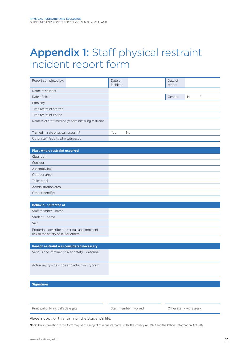# Appendix 1: Staff physical restraint incident report form

| Report completed by:                                                                 | Date of<br>incident |    | Date of<br>report |   |   |
|--------------------------------------------------------------------------------------|---------------------|----|-------------------|---|---|
| Name of student                                                                      |                     |    |                   |   |   |
| Date of birth                                                                        |                     |    | Gender            | M | F |
| Ethnicity                                                                            |                     |    |                   |   |   |
| Time restraint started                                                               |                     |    |                   |   |   |
| Time restraint ended                                                                 |                     |    |                   |   |   |
| Name/s of staff member/s administering restraint                                     |                     |    |                   |   |   |
| Trained in safe physical restraint?                                                  | Yes                 | No |                   |   |   |
| Other staff /adults who witnessed                                                    |                     |    |                   |   |   |
|                                                                                      |                     |    |                   |   |   |
| <b>Place where restraint occurred</b>                                                |                     |    |                   |   |   |
| Classroom                                                                            |                     |    |                   |   |   |
| Corridor                                                                             |                     |    |                   |   |   |
| Assembly hall                                                                        |                     |    |                   |   |   |
| Outdoor area                                                                         |                     |    |                   |   |   |
| Toilet block                                                                         |                     |    |                   |   |   |
| Administration area                                                                  |                     |    |                   |   |   |
| Other (identify)                                                                     |                     |    |                   |   |   |
|                                                                                      |                     |    |                   |   |   |
| <b>Behaviour directed at</b>                                                         |                     |    |                   |   |   |
| Staff member - name                                                                  |                     |    |                   |   |   |
| Student - name                                                                       |                     |    |                   |   |   |
| Self                                                                                 |                     |    |                   |   |   |
| Property - describe the serious and imminent<br>risk to the safety of self or others |                     |    |                   |   |   |
|                                                                                      |                     |    |                   |   |   |
| Reason restraint was considered necessary                                            |                     |    |                   |   |   |
| Serious and imminent risk to safety - describe                                       |                     |    |                   |   |   |
| Actual injury - describe and attach injury form                                      |                     |    |                   |   |   |
|                                                                                      |                     |    |                   |   |   |

#### **Signatures**

Principal or Principal's delegate Staff member involved Other staff (witnesses)

Place a copy of this form on the student's file.

**Note:** The information in this form may be the subject of requests made under the Privacy Act 1993 and the Official Information Act 1982.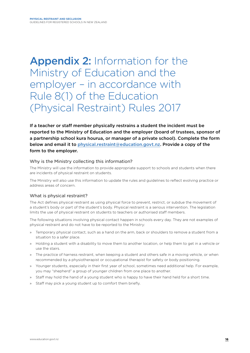# Appendix 2: Information for the Ministry of Education and the employer – in accordance with Rule 8(1) of the Education (Physical Restraint) Rules 2017

If a teacher or staff member physically restrains a student the incident must be reported to the Ministry of Education and the employer (board of trustees, sponsor of a partnership school kura hourua, or manager of a private school). Complete the form below and email it to physical.restraint@education.govt.nz. Provide a copy of the form to the employer.

#### Why is the Ministry collecting this information?

The Ministry will use the information to provide appropriate support to schools and students when there are incidents of physical restraint on students.

The Ministry will also use this information to update the rules and guidelines to reflect evolving practice or address areas of concern.

#### What is physical restraint?

The Act defines physical restraint as using physical force to prevent, restrict, or subdue the movement of a student's body or part of the student's body. Physical restraint is a serious intervention. The legislation limits the use of physical restraint on students to teachers or authorised staff members.

The following situations involving physical contact happen in schools every day. They are not examples of physical restraint and do not have to be reported to the Ministry:

- » Temporary physical contact, such as a hand on the arm, back or shoulders to remove a student from a situation to a safer place.
- » Holding a student with a disability to move them to another location, or help them to get in a vehicle or use the stairs.
- » The practice of harness restraint, when keeping a student and others safe in a moving vehicle, or when recommended by a physiotherapist or occupational therapist for safety or body positioning.
- » Younger students, especially in their first year of school, sometimes need additional help. For example, you may "shepherd" a group of younger children from one place to another.
- » Staff may hold the hand of a young student who is happy to have their hand held for a short time.
- Staff may pick a young student up to comfort them briefly.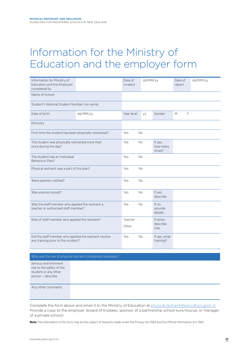# Information for the Ministry of Education and the employer form

| Information for Ministry of<br>Education and the Employer:<br>completed by                    |          | Date of<br>incident | dd/MM/yy  |                               | Date of<br>report | dd/MM/yy     |
|-----------------------------------------------------------------------------------------------|----------|---------------------|-----------|-------------------------------|-------------------|--------------|
| Name of School                                                                                |          |                     |           |                               |                   |              |
| Student's National Student Number (no name)                                                   |          |                     |           |                               |                   |              |
| Date of birth                                                                                 | dd/MM/yy | Year level          | уу        | Gender                        | M                 | $\mathsf{F}$ |
| Ethnicity                                                                                     |          |                     |           |                               |                   |              |
| First time the student has been physically restrained?                                        |          | Yes                 | <b>No</b> |                               |                   |              |
| The student was physically restrained more than<br>once during the day?                       |          | Yes                 | <b>No</b> | If yes,<br>how many<br>times? |                   |              |
| The student has an Individual<br>Behaviour Plan?                                              |          | Yes                 | <b>No</b> |                               |                   |              |
| Physical restraint was a part of the plan?                                                    |          | Yes                 | <b>No</b> |                               |                   |              |
| Were parents notified?                                                                        |          | Yes                 | <b>No</b> |                               |                   |              |
| Was anyone injured?                                                                           |          | Yes                 | <b>No</b> | If yes<br>describe            |                   |              |
| Was the staff member who applied the restraint a<br>teacher or authorised staff member?       |          | Yes                 | <b>No</b> | If no,<br>provide<br>details  |                   |              |
| Role of staff member who applied the restraint?                                               |          | Teacher<br>Other    |           | If other,<br>describe<br>role |                   |              |
| Did the staff member who applied the restraint receive<br>any training prior to the incident? |          | Yes                 | <b>No</b> | If yes, what<br>training?     |                   |              |

#### Why was the use of physical restraint considered necessary?

Serious and imminent risk to the safety of the student or any other person – describe

Any other comments

Complete the form above and email it to the Ministry of Education at physical.restraint@education.govt.nz Provide a copy to the employer (board of trustees, sponsor of a partnership school kura hourua, or manager of a private school)

**Note:** The information in this form may be the subject of requests made under the Privacy Act 1993 and the Official Information Act 1982.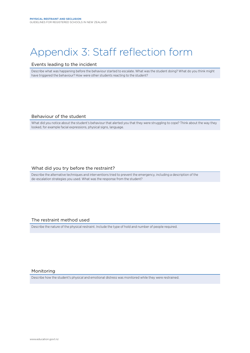# Appendix 3: Staff reflection form

#### Events leading to the incident

Describe what was happening before the behaviour started to escalate. What was the student doing? What do you think might have triggered the behaviour? How were other students reacting to the student?

#### Behaviour of the student

What did you notice about the student's behaviour that alerted you that they were struggling to cope? Think about the way they looked, for example facial expressions, physical signs, language.

#### What did you try before the restraint?

Describe the alternative techniques and interventions tried to prevent the emergency, including a description of the de-escalation strategies you used. What was the response from the student?

#### The restraint method used

Describe the nature of the physical restraint. Include the type of hold and number of people required.

#### Monitoring

Describe how the student's physical and emotional distress was monitored while they were restrained.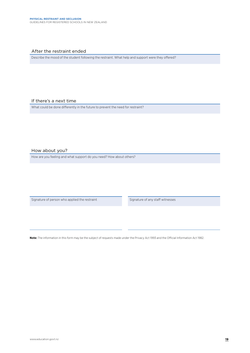#### After the restraint ended

Describe the mood of the student following the restraint. What help and support were they offered?

#### If there's a next time

What could be done differently in the future to prevent the need for restraint?

#### How about you?

How are you feeling and what support do you need? How about others?

Signature of person who applied the restraint Signature of any staff witnesses

**Note:** The information in this form may be the subject of requests made under the Privacy Act 1993 and the Official Information Act 1982.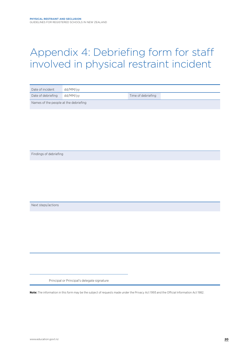# Appendix 4: Debriefing form for staff involved in physical restraint incident

| Date of incident                      | dd/MM/vv |                    |  |  |
|---------------------------------------|----------|--------------------|--|--|
| Date of debriefing dd/MM/yy           |          | Time of debriefing |  |  |
| Names of the people at the debriefing |          |                    |  |  |

Findings of debriefing

Next steps/actions

Principal or Principal's delegate signature

**Note:** The information in this form may be the subject of requests made under the Privacy Act 1993 and the Official Information Act 1982.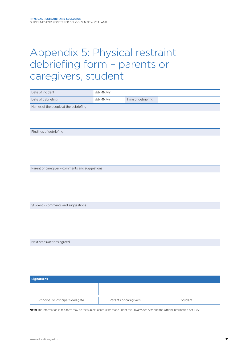# Appendix 5: Physical restraint debriefing form – parents or caregivers, student

| Date of incident                               | dd/MM/yy |                    |
|------------------------------------------------|----------|--------------------|
| Date of debriefing                             | dd/MM/yy | Time of debriefing |
| Names of the people at the debriefing          |          |                    |
|                                                |          |                    |
|                                                |          |                    |
|                                                |          |                    |
| Findings of debriefing                         |          |                    |
|                                                |          |                    |
|                                                |          |                    |
|                                                |          |                    |
|                                                |          |                    |
| Parent or caregiver - comments and suggestions |          |                    |
|                                                |          |                    |
|                                                |          |                    |
|                                                |          |                    |
|                                                |          |                    |
| Student - comments and suggestions             |          |                    |
|                                                |          |                    |
|                                                |          |                    |
|                                                |          |                    |
|                                                |          |                    |
| Next steps/actions agreed                      |          |                    |
|                                                |          |                    |
|                                                |          |                    |
|                                                |          |                    |
|                                                |          |                    |
| <b>Signatures</b>                              |          |                    |
|                                                |          |                    |
|                                                |          |                    |

**Note:** The information in this form may be the subject of requests made under the Privacy Act 1993 and the Official Information Act 1982.

Principal or Principal's delegate Parents or caregivers Caregivers Student